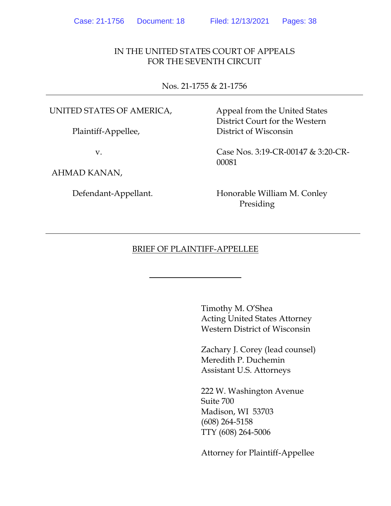### IN THE UNITED STATES COURT OF APPEALS FOR THE SEVENTH CIRCUIT

Nos. 21-1755 & 21-1756

#### UNITED STATES OF AMERICA,

Plaintiff-Appellee,

v.

AHMAD KANAN,

Defendant-Appellant.

Appeal from the United States District Court for the Western District of Wisconsin

Case Nos. 3:19-CR-00147 & 3:20-CR-00081

Honorable William M. Conley Presiding

### BRIEF OF PLAINTIFF-APPELLEE

Timothy M. O'Shea Acting United States Attorney Western District of Wisconsin

Zachary J. Corey (lead counsel) Meredith P. Duchemin Assistant U.S. Attorneys

222 W. Washington Avenue Suite 700 Madison, WI 53703 (608) 264-5158 TTY (608) 264-5006

Attorney for Plaintiff-Appellee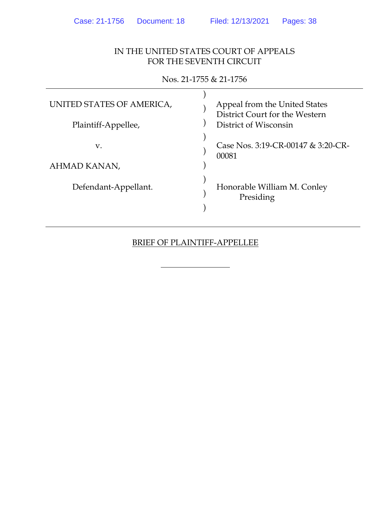## IN THE UNITED STATES COURT OF APPEALS FOR THE SEVENTH CIRCUIT

| $1100.211000 \times 21100$ |                                                                 |  |  |  |
|----------------------------|-----------------------------------------------------------------|--|--|--|
| UNITED STATES OF AMERICA,  | Appeal from the United States<br>District Court for the Western |  |  |  |
| Plaintiff-Appellee,        | District of Wisconsin                                           |  |  |  |
| v.<br>AHMAD KANAN,         | Case Nos. 3:19-CR-00147 & 3:20-CR-<br>00081                     |  |  |  |
|                            |                                                                 |  |  |  |
| Defendant-Appellant.       | Honorable William M. Conley<br>Presiding                        |  |  |  |

## Nos. 21-1755 & 21-1756

## BRIEF OF PLAINTIFF-APPELLEE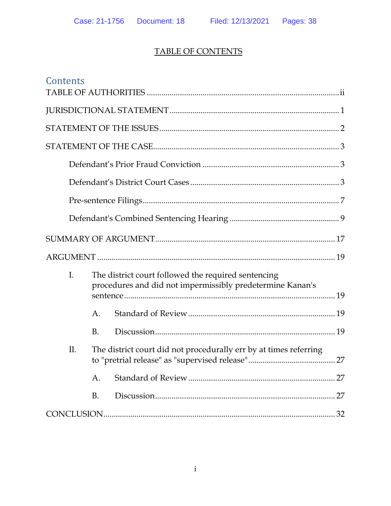# TABLE OF CONTENTS

| Contents |    |                                                                                                                  |    |
|----------|----|------------------------------------------------------------------------------------------------------------------|----|
|          |    |                                                                                                                  |    |
|          |    |                                                                                                                  |    |
|          |    |                                                                                                                  |    |
|          |    |                                                                                                                  |    |
|          |    |                                                                                                                  |    |
|          |    |                                                                                                                  |    |
|          |    |                                                                                                                  |    |
|          |    |                                                                                                                  |    |
|          |    |                                                                                                                  |    |
| I.       |    | The district court followed the required sentencing<br>procedures and did not impermissibly predetermine Kanan's |    |
|          | A. |                                                                                                                  |    |
|          | B. |                                                                                                                  |    |
| Π.       |    | The district court did not procedurally err by at times referring                                                |    |
|          | A. |                                                                                                                  | 27 |
|          | Β. |                                                                                                                  | 27 |
|          |    |                                                                                                                  | 32 |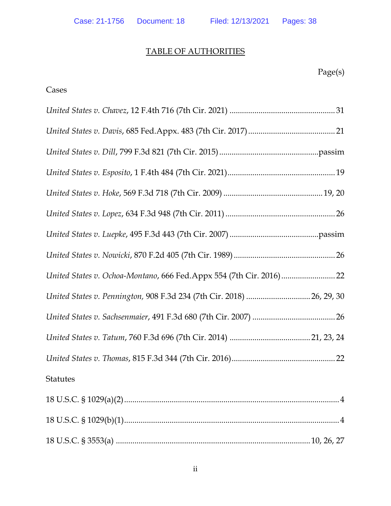## TABLE OF AUTHORITIES

<span id="page-3-0"></span>

| Cases                                                                 |  |
|-----------------------------------------------------------------------|--|
|                                                                       |  |
|                                                                       |  |
|                                                                       |  |
|                                                                       |  |
|                                                                       |  |
|                                                                       |  |
|                                                                       |  |
|                                                                       |  |
|                                                                       |  |
| United States v. Pennington, 908 F.3d 234 (7th Cir. 2018)  26, 29, 30 |  |
|                                                                       |  |
|                                                                       |  |
|                                                                       |  |
| <b>Statutes</b>                                                       |  |
|                                                                       |  |
|                                                                       |  |

18 U.S.C. § 3553(a) ..............................................................................................10, 26, 27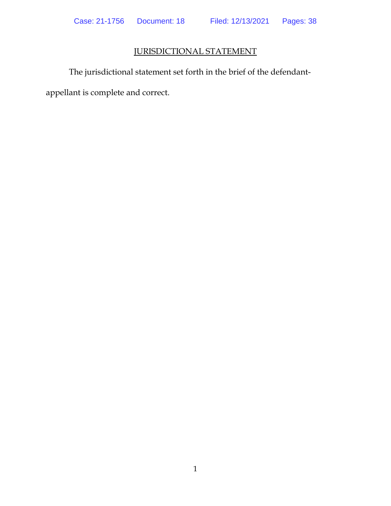## JURISDICTIONAL STATEMENT

<span id="page-5-0"></span>The jurisdictional statement set forth in the brief of the defendantappellant is complete and correct.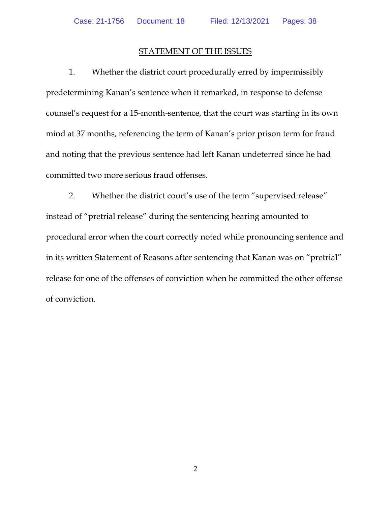#### STATEMENT OF THE ISSUES

<span id="page-6-0"></span>1. Whether the district court procedurally erred by impermissibly predetermining Kanan's sentence when it remarked, in response to defense counsel's request for a 15-month-sentence, that the court was starting in its own mind at 37 months, referencing the term of Kanan's prior prison term for fraud and noting that the previous sentence had left Kanan undeterred since he had committed two more serious fraud offenses.

2. Whether the district court's use of the term "supervised release" instead of "pretrial release" during the sentencing hearing amounted to procedural error when the court correctly noted while pronouncing sentence and in its written Statement of Reasons after sentencing that Kanan was on "pretrial" release for one of the offenses of conviction when he committed the other offense of conviction.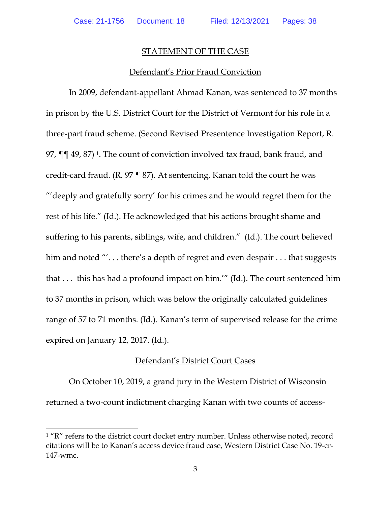#### STATEMENT OF THE CASE

#### Defendant's Prior Fraud Conviction

<span id="page-7-1"></span><span id="page-7-0"></span>In 2009, defendant-appellant Ahmad Kanan, was sentenced to 37 months in prison by the U.S. District Court for the District of Vermont for his role in a three-part fraud scheme. (Second Revised Presentence Investigation Report, R. 97, ¶¶ 49, 87) [1.](#page-7-3) The count of conviction involved tax fraud, bank fraud, and credit-card fraud. (R. 97 ¶ 87). At sentencing, Kanan told the court he was "'deeply and gratefully sorry' for his crimes and he would regret them for the rest of his life." (Id.). He acknowledged that his actions brought shame and suffering to his parents, siblings, wife, and children." (Id.). The court believed him and noted "'... there's a depth of regret and even despair ... that suggests that . . . this has had a profound impact on him.'" (Id.). The court sentenced him to 37 months in prison, which was below the originally calculated guidelines range of 57 to 71 months. (Id.). Kanan's term of supervised release for the crime expired on January 12, 2017. (Id.).

#### Defendant's District Court Cases

<span id="page-7-2"></span>On October 10, 2019, a grand jury in the Western District of Wisconsin returned a two-count indictment charging Kanan with two counts of access-

<span id="page-7-3"></span><sup>&</sup>lt;sup>1</sup> "R" refers to the district court docket entry number. Unless otherwise noted, record citations will be to Kanan's access device fraud case, Western District Case No. 19-cr-147-wmc.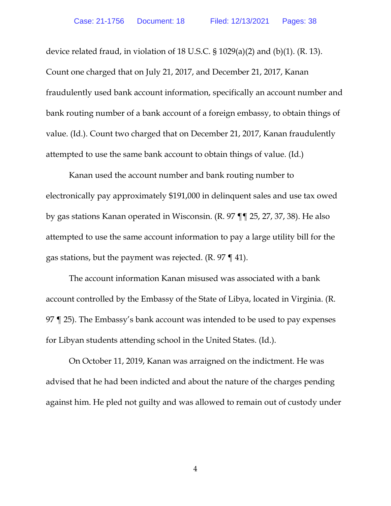device related fraud, in violation of 18 U.S.C.  $\S 1029(a)(2)$  and (b)(1). (R. 13). Count one charged that on July 21, 2017, and December 21, 2017, Kanan fraudulently used bank account information, specifically an account number and bank routing number of a bank account of a foreign embassy, to obtain things of value. (Id.). Count two charged that on December 21, 2017, Kanan fraudulently attempted to use the same bank account to obtain things of value. (Id.)

Kanan used the account number and bank routing number to electronically pay approximately \$191,000 in delinquent sales and use tax owed by gas stations Kanan operated in Wisconsin. (R. 97 ¶¶ 25, 27, 37, 38). He also attempted to use the same account information to pay a large utility bill for the gas stations, but the payment was rejected.  $(R. 97 \text{ } q1)$ .

The account information Kanan misused was associated with a bank account controlled by the Embassy of the State of Libya, located in Virginia. (R. 97 ¶ 25). The Embassy's bank account was intended to be used to pay expenses for Libyan students attending school in the United States. (Id.).

On October 11, 2019, Kanan was arraigned on the indictment. He was advised that he had been indicted and about the nature of the charges pending against him. He pled not guilty and was allowed to remain out of custody under

4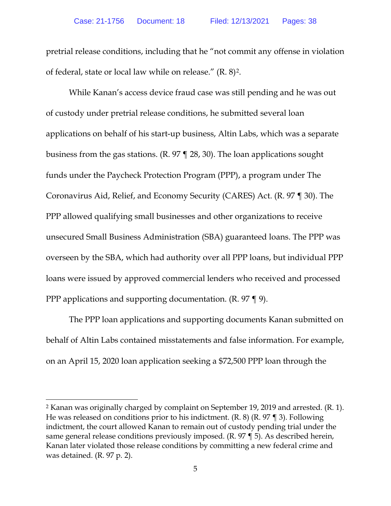pretrial release conditions, including that he "not commit any offense in violation of federal, state or local law while on release." (R. 8)[2](#page-9-0).

While Kanan's access device fraud case was still pending and he was out of custody under pretrial release conditions, he submitted several loan applications on behalf of his start-up business, Altin Labs, which was a separate business from the gas stations. (R. 97 ¶ 28, 30). The loan applications sought funds under the Paycheck Protection Program (PPP), a program under The Coronavirus Aid, Relief, and Economy Security (CARES) Act. (R. 97 ¶ 30). The PPP allowed qualifying small businesses and other organizations to receive unsecured Small Business Administration (SBA) guaranteed loans. The PPP was overseen by the SBA, which had authority over all PPP loans, but individual PPP loans were issued by approved commercial lenders who received and processed PPP applications and supporting documentation. (R. 97 ¶ 9).

The PPP loan applications and supporting documents Kanan submitted on behalf of Altin Labs contained misstatements and false information. For example, on an April 15, 2020 loan application seeking a \$72,500 PPP loan through the

<span id="page-9-0"></span><sup>2</sup> Kanan was originally charged by complaint on September 19, 2019 and arrested. (R. 1). He was released on conditions prior to his indictment. (R. 8) (R. 97 ¶ 3). Following indictment, the court allowed Kanan to remain out of custody pending trial under the same general release conditions previously imposed. (R. 97 ¶ 5). As described herein, Kanan later violated those release conditions by committing a new federal crime and was detained. (R. 97 p. 2).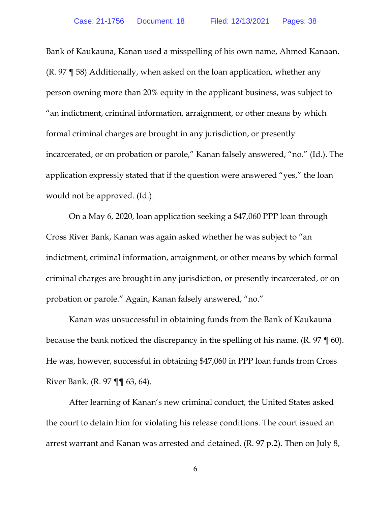Bank of Kaukauna, Kanan used a misspelling of his own name, Ahmed Kanaan. (R. 97 ¶ 58) Additionally, when asked on the loan application, whether any person owning more than 20% equity in the applicant business, was subject to "an indictment, criminal information, arraignment, or other means by which formal criminal charges are brought in any jurisdiction, or presently incarcerated, or on probation or parole," Kanan falsely answered, "no." (Id.). The application expressly stated that if the question were answered "yes," the loan would not be approved. (Id.).

On a May 6, 2020, loan application seeking a \$47,060 PPP loan through Cross River Bank, Kanan was again asked whether he was subject to "an indictment, criminal information, arraignment, or other means by which formal criminal charges are brought in any jurisdiction, or presently incarcerated, or on probation or parole." Again, Kanan falsely answered, "no."

Kanan was unsuccessful in obtaining funds from the Bank of Kaukauna because the bank noticed the discrepancy in the spelling of his name. (R. 97 ¶ 60). He was, however, successful in obtaining \$47,060 in PPP loan funds from Cross River Bank. (R. 97 ¶¶ 63, 64).

After learning of Kanan's new criminal conduct, the United States asked the court to detain him for violating his release conditions. The court issued an arrest warrant and Kanan was arrested and detained. (R. 97 p.2). Then on July 8,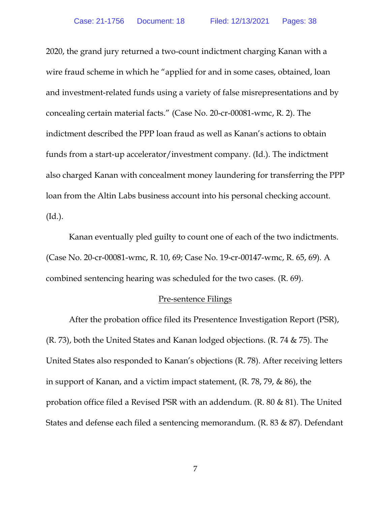2020, the grand jury returned a two-count indictment charging Kanan with a wire fraud scheme in which he "applied for and in some cases, obtained, loan and investment-related funds using a variety of false misrepresentations and by concealing certain material facts." (Case No. 20-cr-00081-wmc, R. 2). The indictment described the PPP loan fraud as well as Kanan's actions to obtain funds from a start-up accelerator/investment company. (Id.). The indictment also charged Kanan with concealment money laundering for transferring the PPP loan from the Altin Labs business account into his personal checking account. (Id.).

Kanan eventually pled guilty to count one of each of the two indictments. (Case No. 20-cr-00081-wmc, R. 10, 69; Case No. 19-cr-00147-wmc, R. 65, 69). A combined sentencing hearing was scheduled for the two cases. (R. 69).

#### <span id="page-11-0"></span>Pre-sentence Filings

After the probation office filed its Presentence Investigation Report (PSR), (R. 73), both the United States and Kanan lodged objections. (R. 74 & 75). The United States also responded to Kanan's objections (R. 78). After receiving letters in support of Kanan, and a victim impact statement, (R. 78, 79, & 86), the probation office filed a Revised PSR with an addendum. (R. 80 & 81). The United States and defense each filed a sentencing memorandum. (R. 83 & 87). Defendant

7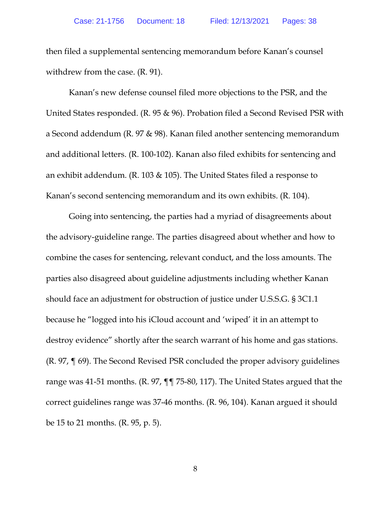then filed a supplemental sentencing memorandum before Kanan's counsel withdrew from the case. (R. 91).

Kanan's new defense counsel filed more objections to the PSR, and the United States responded. (R. 95 & 96). Probation filed a Second Revised PSR with a Second addendum (R. 97 & 98). Kanan filed another sentencing memorandum and additional letters. (R. 100-102). Kanan also filed exhibits for sentencing and an exhibit addendum. (R. 103 & 105). The United States filed a response to Kanan's second sentencing memorandum and its own exhibits. (R. 104).

Going into sentencing, the parties had a myriad of disagreements about the advisory-guideline range. The parties disagreed about whether and how to combine the cases for sentencing, relevant conduct, and the loss amounts. The parties also disagreed about guideline adjustments including whether Kanan should face an adjustment for obstruction of justice under U.S.S.G. § 3C1.1 because he "logged into his iCloud account and 'wiped' it in an attempt to destroy evidence" shortly after the search warrant of his home and gas stations. (R. 97, ¶ 69). The Second Revised PSR concluded the proper advisory guidelines range was 41-51 months. (R. 97, ¶¶ 75-80, 117). The United States argued that the correct guidelines range was 37-46 months. (R. 96, 104). Kanan argued it should be 15 to 21 months. (R. 95, p. 5).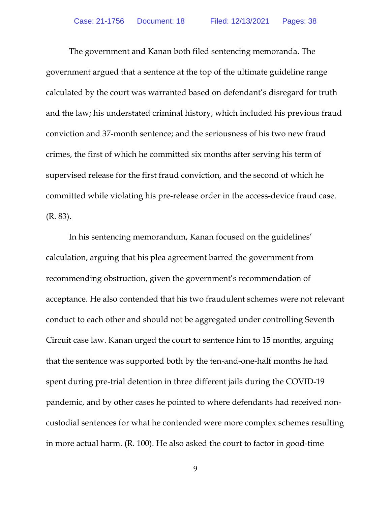The government and Kanan both filed sentencing memoranda. The government argued that a sentence at the top of the ultimate guideline range calculated by the court was warranted based on defendant's disregard for truth and the law; his understated criminal history, which included his previous fraud conviction and 37-month sentence; and the seriousness of his two new fraud crimes, the first of which he committed six months after serving his term of supervised release for the first fraud conviction, and the second of which he committed while violating his pre-release order in the access-device fraud case. (R. 83).

In his sentencing memorandum, Kanan focused on the guidelines' calculation, arguing that his plea agreement barred the government from recommending obstruction, given the government's recommendation of acceptance. He also contended that his two fraudulent schemes were not relevant conduct to each other and should not be aggregated under controlling Seventh Circuit case law. Kanan urged the court to sentence him to 15 months, arguing that the sentence was supported both by the ten-and-one-half months he had spent during pre-trial detention in three different jails during the COVID-19 pandemic, and by other cases he pointed to where defendants had received noncustodial sentences for what he contended were more complex schemes resulting in more actual harm. (R. 100). He also asked the court to factor in good-time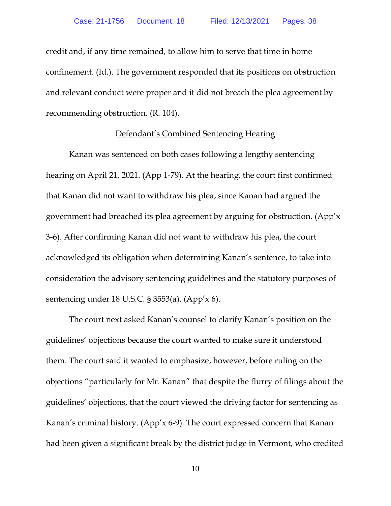credit and, if any time remained, to allow him to serve that time in home confinement. (Id.). The government responded that its positions on obstruction and relevant conduct were proper and it did not breach the plea agreement by recommending obstruction. (R. 104).

#### Defendant's Combined Sentencing Hearing

Kanan was sentenced on both cases following a lengthy sentencing hearing on April 21, 2021. (App 1-79). At the hearing, the court first confirmed that Kanan did not want to withdraw his plea, since Kanan had argued the government had breached its plea agreement by arguing for obstruction. (App'x 3-6). After confirming Kanan did not want to withdraw his plea, the court acknowledged its obligation when determining Kanan's sentence, to take into consideration the advisory sentencing guidelines and the statutory purposes of sentencing under 18 U.S.C. § 3553(a). (App'x 6).

The court next asked Kanan's counsel to clarify Kanan's position on the guidelines' objections because the court wanted to make sure it understood them. The court said it wanted to emphasize, however, before ruling on the objections "particularly for Mr. Kanan" that despite the flurry of filings about the guidelines' objections, that the court viewed the driving factor for sentencing as Kanan's criminal history. (App'x 6-9). The court expressed concern that Kanan had been given a significant break by the district judge in Vermont, who credited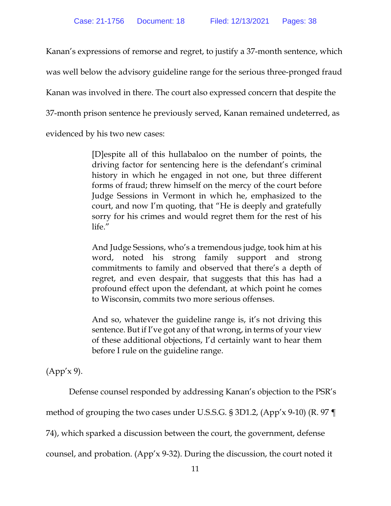Kanan's expressions of remorse and regret, to justify a 37-month sentence, which was well below the advisory guideline range for the serious three-pronged fraud Kanan was involved in there. The court also expressed concern that despite the 37-month prison sentence he previously served, Kanan remained undeterred, as evidenced by his two new cases:

> [D]espite all of this hullabaloo on the number of points, the driving factor for sentencing here is the defendant's criminal history in which he engaged in not one, but three different forms of fraud; threw himself on the mercy of the court before Judge Sessions in Vermont in which he, emphasized to the court, and now I'm quoting, that "He is deeply and gratefully sorry for his crimes and would regret them for the rest of his life."

> And Judge Sessions, who's a tremendous judge, took him at his word, noted his strong family support and strong commitments to family and observed that there's a depth of regret, and even despair, that suggests that this has had a profound effect upon the defendant, at which point he comes to Wisconsin, commits two more serious offenses.

> And so, whatever the guideline range is, it's not driving this sentence. But if I've got any of that wrong, in terms of your view of these additional objections, I'd certainly want to hear them before I rule on the guideline range.

(App'x 9).

Defense counsel responded by addressing Kanan's objection to the PSR's

method of grouping the two cases under U.S.S.G. § 3D1.2, (App'x 9-10) (R. 97 ¶

74), which sparked a discussion between the court, the government, defense

counsel, and probation. (App'x 9-32). During the discussion, the court noted it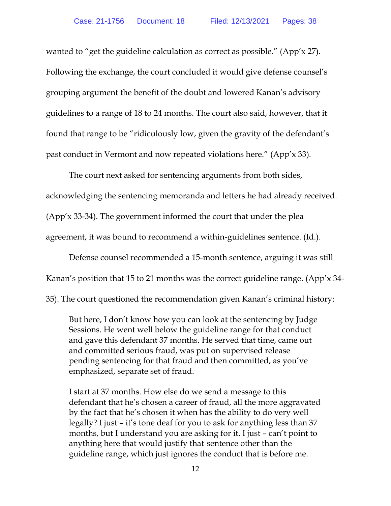wanted to "get the guideline calculation as correct as possible." (App'x 27). Following the exchange, the court concluded it would give defense counsel's grouping argument the benefit of the doubt and lowered Kanan's advisory guidelines to a range of 18 to 24 months. The court also said, however, that it found that range to be "ridiculously low, given the gravity of the defendant's past conduct in Vermont and now repeated violations here." (App'x 33)*.*

The court next asked for sentencing arguments from both sides,

acknowledging the sentencing memoranda and letters he had already received.

(App'x 33-34). The government informed the court that under the plea

agreement, it was bound to recommend a within-guidelines sentence. (Id.).

Defense counsel recommended a 15-month sentence, arguing it was still Kanan's position that 15 to 21 months was the correct guideline range. (App'x 34- 35). The court questioned the recommendation given Kanan's criminal history:

But here, I don't know how you can look at the sentencing by Judge Sessions. He went well below the guideline range for that conduct and gave this defendant 37 months. He served that time, came out and committed serious fraud, was put on supervised release pending sentencing for that fraud and then committed, as you've emphasized, separate set of fraud.

I start at 37 months. How else do we send a message to this defendant that he's chosen a career of fraud, all the more aggravated by the fact that he's chosen it when has the ability to do very well legally? I just – it's tone deaf for you to ask for anything less than 37 months, but I understand you are asking for it. I just – can't point to anything here that would justify that sentence other than the guideline range, which just ignores the conduct that is before me.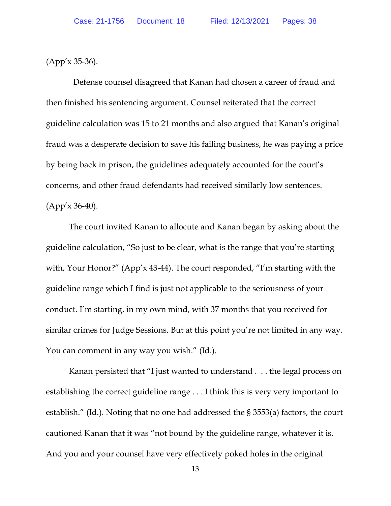(App'x 35-36).

 Defense counsel disagreed that Kanan had chosen a career of fraud and then finished his sentencing argument. Counsel reiterated that the correct guideline calculation was 15 to 21 months and also argued that Kanan's original fraud was a desperate decision to save his failing business, he was paying a price by being back in prison, the guidelines adequately accounted for the court's concerns, and other fraud defendants had received similarly low sentences. (App'x 36-40).

The court invited Kanan to allocute and Kanan began by asking about the guideline calculation, "So just to be clear, what is the range that you're starting with, Your Honor?" (App'x 43-44). The court responded, "I'm starting with the guideline range which I find is just not applicable to the seriousness of your conduct. I'm starting, in my own mind, with 37 months that you received for similar crimes for Judge Sessions. But at this point you're not limited in any way. You can comment in any way you wish." (Id.).

Kanan persisted that "I just wanted to understand . . . the legal process on establishing the correct guideline range . . . I think this is very very important to establish." (Id.). Noting that no one had addressed the § 3553(a) factors, the court cautioned Kanan that it was "not bound by the guideline range, whatever it is. And you and your counsel have very effectively poked holes in the original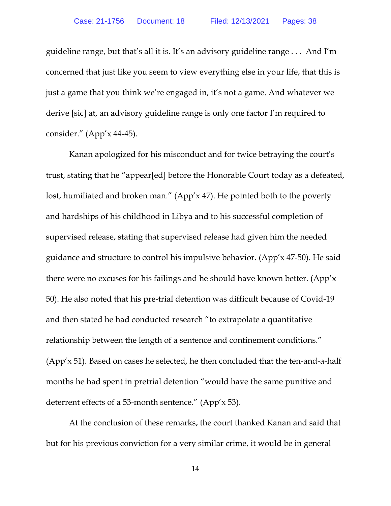guideline range, but that's all it is. It's an advisory guideline range . . . And I'm concerned that just like you seem to view everything else in your life, that this is just a game that you think we're engaged in, it's not a game. And whatever we derive [sic] at, an advisory guideline range is only one factor I'm required to consider." (App'x 44-45).

Kanan apologized for his misconduct and for twice betraying the court's trust, stating that he "appear[ed] before the Honorable Court today as a defeated, lost, humiliated and broken man." (App'x 47). He pointed both to the poverty and hardships of his childhood in Libya and to his successful completion of supervised release, stating that supervised release had given him the needed guidance and structure to control his impulsive behavior. (App'x 47-50). He said there were no excuses for his failings and he should have known better. (App'x 50). He also noted that his pre-trial detention was difficult because of Covid-19 and then stated he had conducted research "to extrapolate a quantitative relationship between the length of a sentence and confinement conditions." (App'x 51). Based on cases he selected, he then concluded that the ten-and-a-half months he had spent in pretrial detention "would have the same punitive and deterrent effects of a 53-month sentence." (App'x 53).

At the conclusion of these remarks, the court thanked Kanan and said that but for his previous conviction for a very similar crime, it would be in general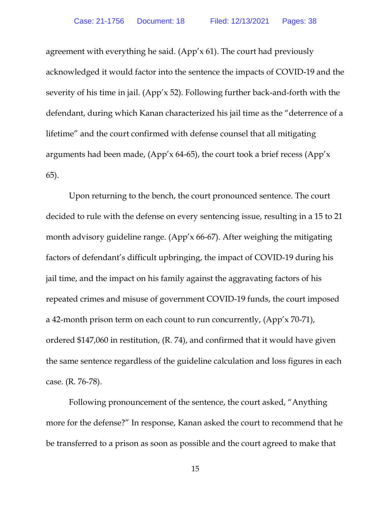agreement with everything he said. (App'x 61). The court had previously acknowledged it would factor into the sentence the impacts of COVID-19 and the severity of his time in jail. (App'x 52). Following further back-and-forth with the defendant, during which Kanan characterized his jail time as the "deterrence of a lifetime" and the court confirmed with defense counsel that all mitigating arguments had been made,  $(App'x 64-65)$ , the court took a brief recess  $(App'x)$ 65).

Upon returning to the bench, the court pronounced sentence. The court decided to rule with the defense on every sentencing issue, resulting in a 15 to 21 month advisory guideline range. (App'x 66-67). After weighing the mitigating factors of defendant's difficult upbringing, the impact of COVID-19 during his jail time, and the impact on his family against the aggravating factors of his repeated crimes and misuse of government COVID-19 funds, the court imposed a 42-month prison term on each count to run concurrently, (App'x 70-71), ordered \$147,060 in restitution, (R. 74), and confirmed that it would have given the same sentence regardless of the guideline calculation and loss figures in each case. (R. 76-78).

Following pronouncement of the sentence, the court asked, "Anything more for the defense?" In response, Kanan asked the court to recommend that he be transferred to a prison as soon as possible and the court agreed to make that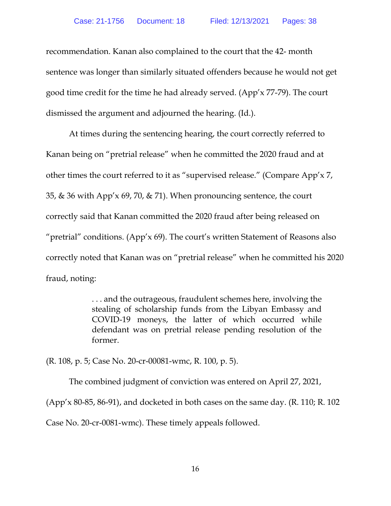recommendation. Kanan also complained to the court that the 42- month sentence was longer than similarly situated offenders because he would not get good time credit for the time he had already served. (App'x 77-79). The court dismissed the argument and adjourned the hearing. (Id.).

At times during the sentencing hearing, the court correctly referred to Kanan being on "pretrial release" when he committed the 2020 fraud and at other times the court referred to it as "supervised release." (Compare App'x 7, 35, & 36 with App'x 69, 70, & 71). When pronouncing sentence, the court correctly said that Kanan committed the 2020 fraud after being released on "pretrial" conditions. (App'x  $69$ ). The court's written Statement of Reasons also correctly noted that Kanan was on "pretrial release" when he committed his 2020 fraud, noting:

> . . . and the outrageous, fraudulent schemes here, involving the stealing of scholarship funds from the Libyan Embassy and COVID-19 moneys, the latter of which occurred while defendant was on pretrial release pending resolution of the former.

(R. 108, p. 5; Case No. 20-cr-00081-wmc, R. 100, p. 5).

The combined judgment of conviction was entered on April 27, 2021, (App'x 80-85, 86-91), and docketed in both cases on the same day. (R. 110; R. 102

Case No. 20-cr-0081-wmc). These timely appeals followed.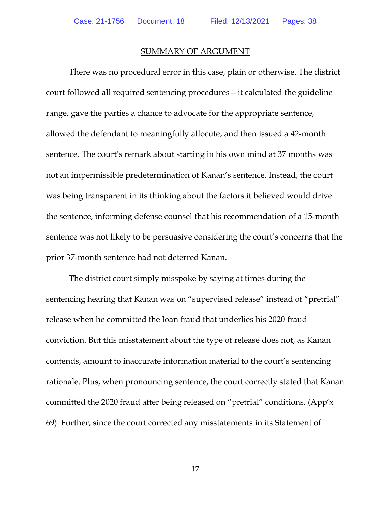#### SUMMARY OF ARGUMENT

<span id="page-21-0"></span>There was no procedural error in this case, plain or otherwise. The district court followed all required sentencing procedures—it calculated the guideline range, gave the parties a chance to advocate for the appropriate sentence, allowed the defendant to meaningfully allocute, and then issued a 42-month sentence. The court's remark about starting in his own mind at 37 months was not an impermissible predetermination of Kanan's sentence. Instead, the court was being transparent in its thinking about the factors it believed would drive the sentence, informing defense counsel that his recommendation of a 15-month sentence was not likely to be persuasive considering the court's concerns that the prior 37-month sentence had not deterred Kanan.

The district court simply misspoke by saying at times during the sentencing hearing that Kanan was on "supervised release" instead of "pretrial" release when he committed the loan fraud that underlies his 2020 fraud conviction. But this misstatement about the type of release does not, as Kanan contends, amount to inaccurate information material to the court's sentencing rationale. Plus, when pronouncing sentence, the court correctly stated that Kanan committed the 2020 fraud after being released on "pretrial" conditions. (App'x 69). Further, since the court corrected any misstatements in its Statement of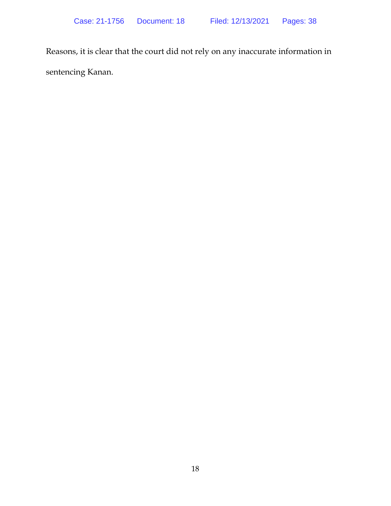Reasons, it is clear that the court did not rely on any inaccurate information in sentencing Kanan.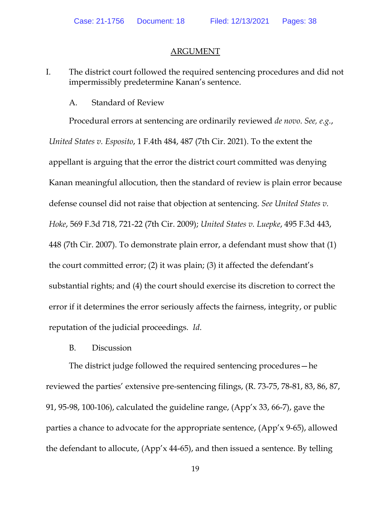#### ARGUMENT

<span id="page-23-0"></span>I. The district court followed the required sentencing procedures and did not impermissibly predetermine Kanan's sentence.

#### A. Standard of Review

<span id="page-23-1"></span>Procedural errors at sentencing are ordinarily reviewed *de novo*. *See, e.g.*, *United States v. Esposito*, 1 F.4th 484, 487 (7th Cir. 2021). To the extent the appellant is arguing that the error the district court committed was denying Kanan meaningful allocution, then the standard of review is plain error because defense counsel did not raise that objection at sentencing. *See United States v. Hoke*, 569 F.3d 718, 721-22 (7th Cir. 2009); *United States v. Luepke*, 495 F.3d 443, 448 (7th Cir. 2007). To demonstrate plain error, a defendant must show that (1) the court committed error; (2) it was plain; (3) it affected the defendant's substantial rights; and (4) the court should exercise its discretion to correct the error if it determines the error seriously affects the fairness, integrity, or public reputation of the judicial proceedings. *Id*.

#### B. Discussion

<span id="page-23-2"></span>The district judge followed the required sentencing procedures—he reviewed the parties' extensive pre-sentencing filings, (R. 73-75, 78-81, 83, 86, 87, 91, 95-98, 100-106), calculated the guideline range, (App'x 33, 66-7), gave the parties a chance to advocate for the appropriate sentence, (App'x 9-65), allowed the defendant to allocute, (App'x 44-65), and then issued a sentence. By telling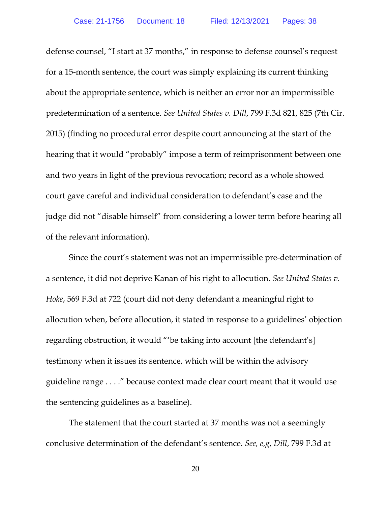defense counsel, "I start at 37 months," in response to defense counsel's request for a 15-month sentence, the court was simply explaining its current thinking about the appropriate sentence, which is neither an error nor an impermissible predetermination of a sentence. *See United States v. Dill*, 799 F.3d 821, 825 (7th Cir. 2015) (finding no procedural error despite court announcing at the start of the hearing that it would "probably" impose a term of reimprisonment between one and two years in light of the previous revocation; record as a whole showed court gave careful and individual consideration to defendant's case and the judge did not "disable himself" from considering a lower term before hearing all of the relevant information).

Since the court's statement was not an impermissible pre-determination of a sentence, it did not deprive Kanan of his right to allocution. *See United States v. Hoke*, 569 F.3d at 722 (court did not deny defendant a meaningful right to allocution when, before allocution, it stated in response to a guidelines' objection regarding obstruction, it would "'be taking into account [the defendant's] testimony when it issues its sentence, which will be within the advisory guideline range . . . ." because context made clear court meant that it would use the sentencing guidelines as a baseline).

The statement that the court started at 37 months was not a seemingly conclusive determination of the defendant's sentence. *See, e,g*, *Dill*, 799 F.3d at

20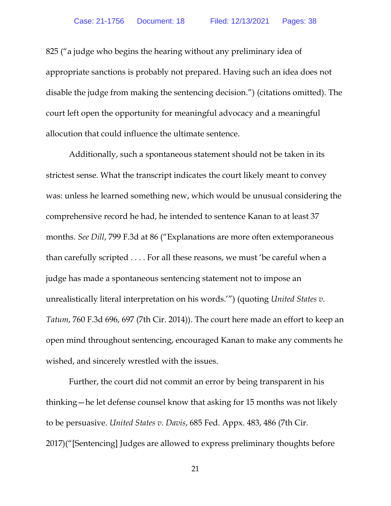825 ("a judge who begins the hearing without any preliminary idea of appropriate sanctions is probably not prepared. Having such an idea does not disable the judge from making the sentencing decision.") (citations omitted). The court left open the opportunity for meaningful advocacy and a meaningful allocution that could influence the ultimate sentence.

Additionally, such a spontaneous statement should not be taken in its strictest sense. What the transcript indicates the court likely meant to convey was: unless he learned something new, which would be unusual considering the comprehensive record he had, he intended to sentence Kanan to at least 37 months. *See Dill*, 799 F.3d at 86 ("Explanations are more often extemporaneous than carefully scripted . . . . For all these reasons, we must 'be careful when a judge has made a spontaneous sentencing statement not to impose an unrealistically literal interpretation on his words.'") (quoting *United States v. Tatum*, 760 F.3d 696, 697 (7th Cir. 2014)). The court here made an effort to keep an open mind throughout sentencing, encouraged Kanan to make any comments he wished, and sincerely wrestled with the issues.

Further, the court did not commit an error by being transparent in his thinking—he let defense counsel know that asking for 15 months was not likely to be persuasive. *United States v. Davis*, 685 Fed. Appx. 483, 486 (7th Cir. 2017)("[Sentencing] Judges are allowed to express preliminary thoughts before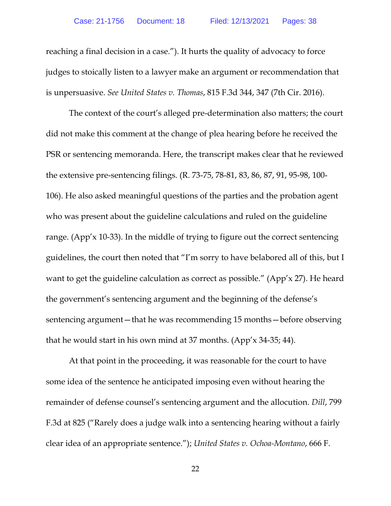reaching a final decision in a case."). It hurts the quality of advocacy to force judges to stoically listen to a lawyer make an argument or recommendation that is unpersuasive. *See United States v. Thomas*, 815 F.3d 344, 347 (7th Cir. 2016).

The context of the court's alleged pre-determination also matters; the court did not make this comment at the change of plea hearing before he received the PSR or sentencing memoranda. Here, the transcript makes clear that he reviewed the extensive pre-sentencing filings. (R. 73-75, 78-81, 83, 86, 87, 91, 95-98, 100- 106). He also asked meaningful questions of the parties and the probation agent who was present about the guideline calculations and ruled on the guideline range. (App'x 10-33). In the middle of trying to figure out the correct sentencing guidelines, the court then noted that "I'm sorry to have belabored all of this, but I want to get the guideline calculation as correct as possible." (App'x 27). He heard the government's sentencing argument and the beginning of the defense's sentencing argument—that he was recommending 15 months—before observing that he would start in his own mind at 37 months. (App'x 34-35; 44).

At that point in the proceeding, it was reasonable for the court to have some idea of the sentence he anticipated imposing even without hearing the remainder of defense counsel's sentencing argument and the allocution. *Dill*, 799 F.3d at 825 ("Rarely does a judge walk into a sentencing hearing without a fairly clear idea of an appropriate sentence."); *United States v. Ochoa-Montano*, 666 F.

22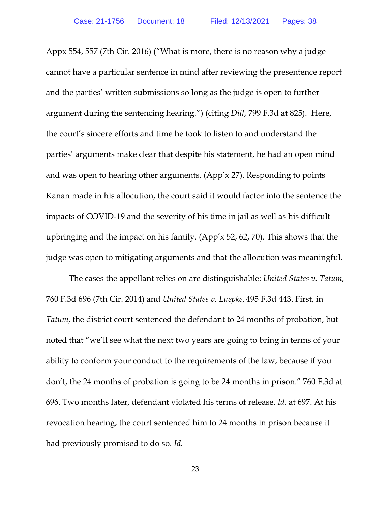Appx 554, 557 (7th Cir. 2016) ("What is more, there is no reason why a judge cannot have a particular sentence in mind after reviewing the presentence report and the parties' written submissions so long as the judge is open to further argument during the sentencing hearing.") (citing *Dill*, 799 F.3d at 825). Here, the court's sincere efforts and time he took to listen to and understand the parties' arguments make clear that despite his statement, he had an open mind and was open to hearing other arguments. (App'x 27). Responding to points Kanan made in his allocution, the court said it would factor into the sentence the impacts of COVID-19 and the severity of his time in jail as well as his difficult upbringing and the impact on his family. (App'x 52, 62, 70). This shows that the judge was open to mitigating arguments and that the allocution was meaningful.

The cases the appellant relies on are distinguishable: *United States v. Tatum*, 760 F.3d 696 (7th Cir. 2014) and *United States v. Luepke*, 495 F.3d 443. First, in *Tatum*, the district court sentenced the defendant to 24 months of probation, but noted that "we'll see what the next two years are going to bring in terms of your ability to conform your conduct to the requirements of the law, because if you don't, the 24 months of probation is going to be 24 months in prison." 760 F.3d at 696. Two months later, defendant violated his terms of release. *Id.* at 697. At his revocation hearing, the court sentenced him to 24 months in prison because it had previously promised to do so. *Id.*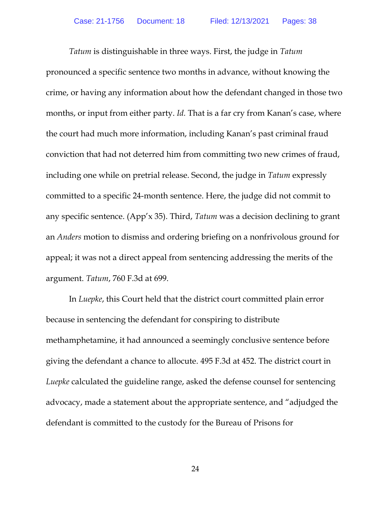*Tatum* is distinguishable in three ways. First, the judge in *Tatum* pronounced a specific sentence two months in advance, without knowing the crime, or having any information about how the defendant changed in those two months, or input from either party. *Id*. That is a far cry from Kanan's case, where the court had much more information, including Kanan's past criminal fraud conviction that had not deterred him from committing two new crimes of fraud, including one while on pretrial release. Second, the judge in *Tatum* expressly committed to a specific 24-month sentence. Here, the judge did not commit to any specific sentence. (App'x 35). Third, *Tatum* was a decision declining to grant an *Anders* motion to dismiss and ordering briefing on a nonfrivolous ground for appeal; it was not a direct appeal from sentencing addressing the merits of the argument. *Tatum*, 760 F.3d at 699.

In *Luepke*, this Court held that the district court committed plain error because in sentencing the defendant for conspiring to distribute methamphetamine, it had announced a seemingly conclusive sentence before giving the defendant a chance to allocute. 495 F.3d at 452. The district court in *Luepke* calculated the guideline range, asked the defense counsel for sentencing advocacy, made a statement about the appropriate sentence, and "adjudged the defendant is committed to the custody for the Bureau of Prisons for

24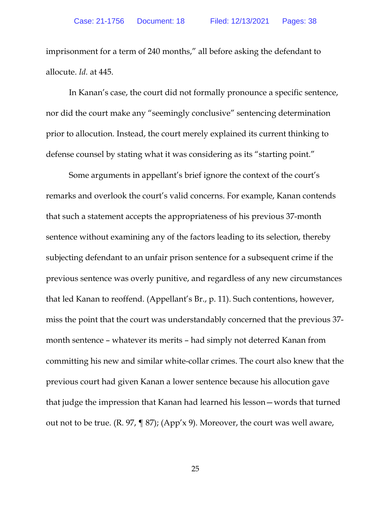imprisonment for a term of 240 months," all before asking the defendant to allocute. *Id.* at 445.

In Kanan's case, the court did not formally pronounce a specific sentence, nor did the court make any "seemingly conclusive" sentencing determination prior to allocution. Instead, the court merely explained its current thinking to defense counsel by stating what it was considering as its "starting point."

Some arguments in appellant's brief ignore the context of the court's remarks and overlook the court's valid concerns. For example, Kanan contends that such a statement accepts the appropriateness of his previous 37-month sentence without examining any of the factors leading to its selection, thereby subjecting defendant to an unfair prison sentence for a subsequent crime if the previous sentence was overly punitive, and regardless of any new circumstances that led Kanan to reoffend. (Appellant's Br., p. 11). Such contentions, however, miss the point that the court was understandably concerned that the previous 37 month sentence – whatever its merits – had simply not deterred Kanan from committing his new and similar white-collar crimes. The court also knew that the previous court had given Kanan a lower sentence because his allocution gave that judge the impression that Kanan had learned his lesson—words that turned out not to be true. (R. 97, ¶ 87); (App'x 9). Moreover, the court was well aware,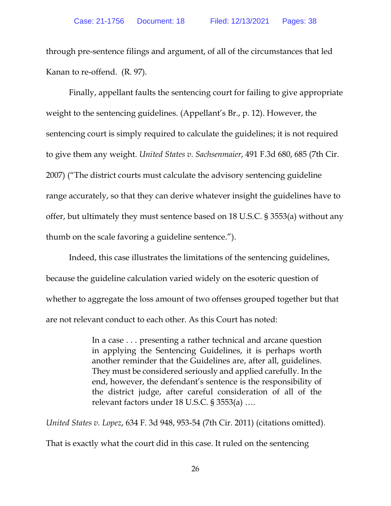through pre-sentence filings and argument, of all of the circumstances that led Kanan to re-offend. (R. 97).

Finally, appellant faults the sentencing court for failing to give appropriate weight to the sentencing guidelines. (Appellant's Br., p. 12). However, the sentencing court is simply required to calculate the guidelines; it is not required to give them any weight. *United States v. Sachsenmaier*, 491 F.3d 680, 685 (7th Cir. 2007) ("The district courts must calculate the advisory sentencing guideline range accurately, so that they can derive whatever insight the guidelines have to offer, but ultimately they must sentence based on 18 U.S.C. § 3553(a) without any thumb on the scale favoring a guideline sentence.").

Indeed, this case illustrates the limitations of the sentencing guidelines, because the guideline calculation varied widely on the esoteric question of whether to aggregate the loss amount of two offenses grouped together but that are not relevant conduct to each other. As this Court has noted:

> In a case . . . presenting a rather technical and arcane question in applying the Sentencing Guidelines, it is perhaps worth another reminder that the Guidelines are, after all, guidelines. They must be considered seriously and applied carefully. In the end, however, the defendant's sentence is the responsibility of the district judge, after careful consideration of all of the relevant factors under 18 U.S.C. § 3553(a) ….

*United States v. Lopez*, 634 F. 3d 948, 953-54 (7th Cir. 2011) (citations omitted).

That is exactly what the court did in this case. It ruled on the sentencing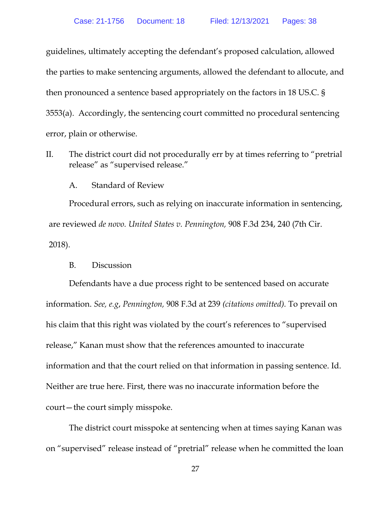guidelines, ultimately accepting the defendant's proposed calculation, allowed the parties to make sentencing arguments, allowed the defendant to allocute, and then pronounced a sentence based appropriately on the factors in 18 US.C. § 3553(a). Accordingly, the sentencing court committed no procedural sentencing error, plain or otherwise.

II. The district court did not procedurally err by at times referring to "pretrial release" as "supervised release."

A. Standard of Review

<span id="page-31-0"></span>Procedural errors, such as relying on inaccurate information in sentencing, are reviewed *de novo. United States v. Pennington,* 908 F.3d 234, 240 (7th Cir. 2018).

B. Discussion

<span id="page-31-1"></span>Defendants have a due process right to be sentenced based on accurate information. *See, e.g*, *Pennington,* 908 F.3d at 239 *(citations omitted).* To prevail on his claim that this right was violated by the court's references to "supervised release," Kanan must show that the references amounted to inaccurate information and that the court relied on that information in passing sentence. Id. Neither are true here. First, there was no inaccurate information before the court—the court simply misspoke.

The district court misspoke at sentencing when at times saying Kanan was on "supervised" release instead of "pretrial" release when he committed the loan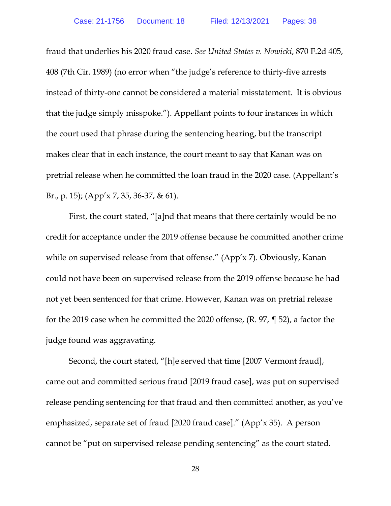fraud that underlies his 2020 fraud case. *See United States v. Nowicki*, 870 F.2d 405, 408 (7th Cir. 1989) (no error when "the judge's reference to thirty-five arrests instead of thirty-one cannot be considered a material misstatement. It is obvious that the judge simply misspoke."). Appellant points to four instances in which the court used that phrase during the sentencing hearing, but the transcript makes clear that in each instance, the court meant to say that Kanan was on pretrial release when he committed the loan fraud in the 2020 case. (Appellant's Br., p. 15); (App'x 7, 35, 36-37, & 61).

First, the court stated, "[a]nd that means that there certainly would be no credit for acceptance under the 2019 offense because he committed another crime while on supervised release from that offense." (App'x 7). Obviously, Kanan could not have been on supervised release from the 2019 offense because he had not yet been sentenced for that crime. However, Kanan was on pretrial release for the 2019 case when he committed the 2020 offense, (R. 97, ¶ 52), a factor the judge found was aggravating.

Second, the court stated, "[h]e served that time [2007 Vermont fraud], came out and committed serious fraud [2019 fraud case], was put on supervised release pending sentencing for that fraud and then committed another, as you've emphasized, separate set of fraud [2020 fraud case]." (App'x 35). A person cannot be "put on supervised release pending sentencing" as the court stated.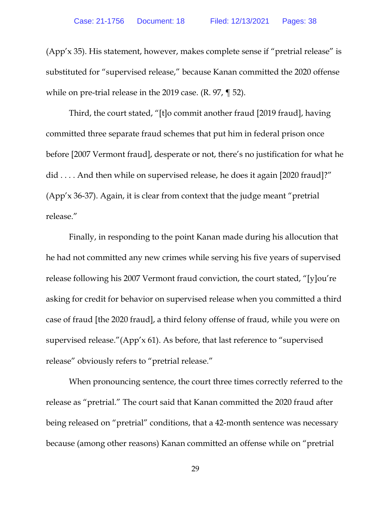(App'x 35). His statement, however, makes complete sense if "pretrial release" is substituted for "supervised release," because Kanan committed the 2020 offense while on pre-trial release in the 2019 case. (R. 97, ¶ 52).

Third, the court stated, "[t]o commit another fraud [2019 fraud], having committed three separate fraud schemes that put him in federal prison once before [2007 Vermont fraud], desperate or not, there's no justification for what he did . . . . And then while on supervised release, he does it again [2020 fraud]?" (App'x 36-37). Again, it is clear from context that the judge meant "pretrial release."

Finally, in responding to the point Kanan made during his allocution that he had not committed any new crimes while serving his five years of supervised release following his 2007 Vermont fraud conviction, the court stated, "[y]ou're asking for credit for behavior on supervised release when you committed a third case of fraud [the 2020 fraud], a third felony offense of fraud, while you were on supervised release."(App'x 61). As before, that last reference to "supervised release" obviously refers to "pretrial release."

When pronouncing sentence, the court three times correctly referred to the release as "pretrial." The court said that Kanan committed the 2020 fraud after being released on "pretrial" conditions, that a 42-month sentence was necessary because (among other reasons) Kanan committed an offense while on "pretrial

29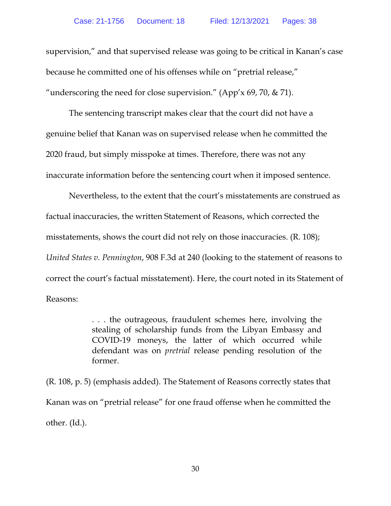supervision," and that supervised release was going to be critical in Kanan's case because he committed one of his offenses while on "pretrial release," "underscoring the need for close supervision." (App'x 69, 70,  $\&$  71).

The sentencing transcript makes clear that the court did not have a genuine belief that Kanan was on supervised release when he committed the 2020 fraud, but simply misspoke at times. Therefore, there was not any inaccurate information before the sentencing court when it imposed sentence.

Nevertheless, to the extent that the court's misstatements are construed as factual inaccuracies, the written Statement of Reasons, which corrected the misstatements, shows the court did not rely on those inaccuracies. (R. 108); *United States v. Pennington*, 908 F.3d at 240 (looking to the statement of reasons to correct the court's factual misstatement). Here, the court noted in its Statement of Reasons:

> . . . the outrageous, fraudulent schemes here, involving the stealing of scholarship funds from the Libyan Embassy and COVID-19 moneys, the latter of which occurred while defendant was on *pretrial* release pending resolution of the former.

(R. 108, p. 5) (emphasis added). The Statement of Reasons correctly states that Kanan was on "pretrial release" for one fraud offense when he committed the other. (Id.).

30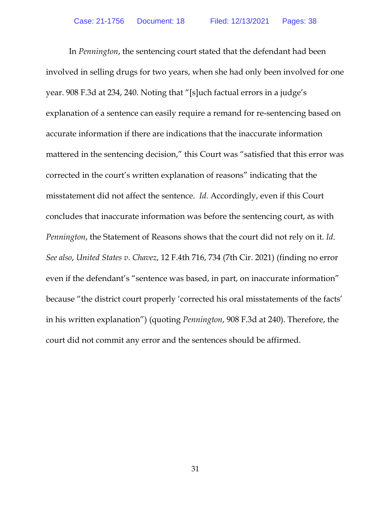In *Pennington*, the sentencing court stated that the defendant had been involved in selling drugs for two years, when she had only been involved for one year. 908 F.3d at 234, 240. Noting that "[s]uch factual errors in a judge's explanation of a sentence can easily require a remand for re-sentencing based on accurate information if there are indications that the inaccurate information mattered in the sentencing decision," this Court was "satisfied that this error was corrected in the court's written explanation of reasons" indicating that the misstatement did not affect the sentence. *Id.* Accordingly, even if this Court concludes that inaccurate information was before the sentencing court, as with *Pennington*, the Statement of Reasons shows that the court did not rely on it. *Id*. *See also*, *United States v. Chavez*, 12 F.4th 716, 734 (7th Cir. 2021) (finding no error even if the defendant's "sentence was based, in part, on inaccurate information" because "the district court properly 'corrected his oral misstatements of the facts' in his written explanation") (quoting *Pennington*, 908 F.3d at 240). Therefore, the court did not commit any error and the sentences should be affirmed.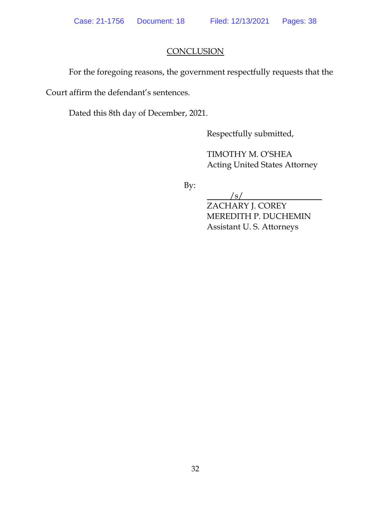## **CONCLUSION**

<span id="page-36-0"></span>For the foregoing reasons, the government respectfully requests that the

Court affirm the defendant's sentences.

Dated this 8th day of December, 2021.

Respectfully submitted,

TIMOTHY M. O'SHEA Acting United States Attorney

By:

/s/

ZACHARY J. COREY MEREDITH P. DUCHEMIN Assistant U. S. Attorneys